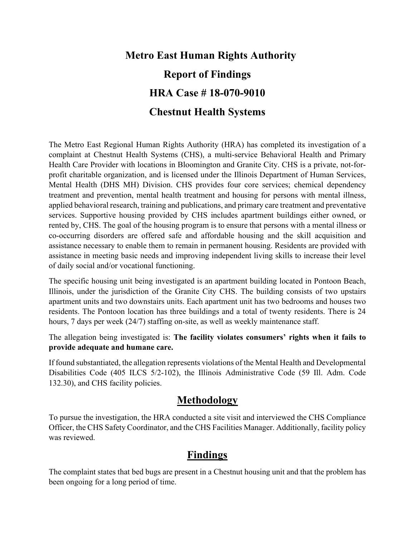# **Metro East Human Rights Authority Report of Findings HRA Case # 18-070-9010 Chestnut Health Systems**

The Metro East Regional Human Rights Authority (HRA) has completed its investigation of a complaint at Chestnut Health Systems (CHS), a multi-service Behavioral Health and Primary Health Care Provider with locations in Bloomington and Granite City. CHS is a private, not-forprofit charitable organization, and is licensed under the Illinois Department of Human Services, Mental Health (DHS MH) Division. CHS provides four core services; chemical dependency treatment and prevention, mental health treatment and housing for persons with mental illness, applied behavioral research, training and publications, and primary care treatment and preventative services. Supportive housing provided by CHS includes apartment buildings either owned, or rented by, CHS. The goal of the housing program is to ensure that persons with a mental illness or co-occurring disorders are offered safe and affordable housing and the skill acquisition and assistance necessary to enable them to remain in permanent housing. Residents are provided with assistance in meeting basic needs and improving independent living skills to increase their level of daily social and/or vocational functioning.

The specific housing unit being investigated is an apartment building located in Pontoon Beach, Illinois, under the jurisdiction of the Granite City CHS. The building consists of two upstairs apartment units and two downstairs units. Each apartment unit has two bedrooms and houses two residents. The Pontoon location has three buildings and a total of twenty residents. There is 24 hours, 7 days per week (24/7) staffing on-site, as well as weekly maintenance staff.

The allegation being investigated is: **The facility violates consumers' rights when it fails to provide adequate and humane care.**

If found substantiated, the allegation represents violations of the Mental Health and Developmental Disabilities Code (405 ILCS 5/2-102), the Illinois Administrative Code (59 Ill. Adm. Code 132.30), and CHS facility policies.

### **Methodology**

To pursue the investigation, the HRA conducted a site visit and interviewed the CHS Compliance Officer, the CHS Safety Coordinator, and the CHS Facilities Manager. Additionally, facility policy was reviewed.

### **Findings**

The complaint states that bed bugs are present in a Chestnut housing unit and that the problem has been ongoing for a long period of time.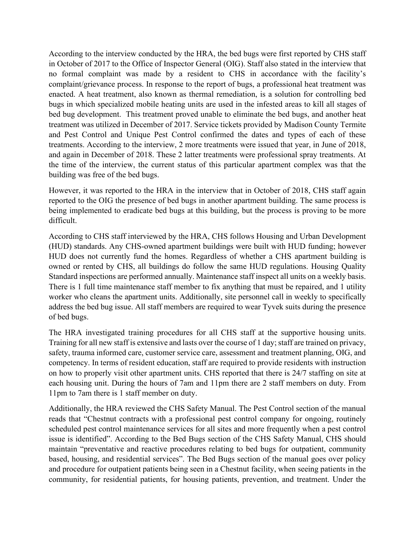According to the interview conducted by the HRA, the bed bugs were first reported by CHS staff in October of 2017 to the Office of Inspector General (OIG). Staff also stated in the interview that no formal complaint was made by a resident to CHS in accordance with the facility's complaint/grievance process. In response to the report of bugs, a professional heat treatment was enacted. A heat treatment, also known as thermal remediation, is a solution for controlling bed bugs in which specialized mobile heating units are used in the infested areas to kill all stages of bed bug development. This treatment proved unable to eliminate the bed bugs, and another heat treatment was utilized in December of 2017. Service tickets provided by Madison County Termite and Pest Control and Unique Pest Control confirmed the dates and types of each of these treatments. According to the interview, 2 more treatments were issued that year, in June of 2018, and again in December of 2018. These 2 latter treatments were professional spray treatments. At the time of the interview, the current status of this particular apartment complex was that the building was free of the bed bugs.

However, it was reported to the HRA in the interview that in October of 2018, CHS staff again reported to the OIG the presence of bed bugs in another apartment building. The same process is being implemented to eradicate bed bugs at this building, but the process is proving to be more difficult.

According to CHS staff interviewed by the HRA, CHS follows Housing and Urban Development (HUD) standards. Any CHS-owned apartment buildings were built with HUD funding; however HUD does not currently fund the homes. Regardless of whether a CHS apartment building is owned or rented by CHS, all buildings do follow the same HUD regulations. Housing Quality Standard inspections are performed annually. Maintenance staff inspect all units on a weekly basis. There is 1 full time maintenance staff member to fix anything that must be repaired, and 1 utility worker who cleans the apartment units. Additionally, site personnel call in weekly to specifically address the bed bug issue. All staff members are required to wear Tyvek suits during the presence of bed bugs.

The HRA investigated training procedures for all CHS staff at the supportive housing units. Training for all new staff is extensive and lasts over the course of 1 day; staff are trained on privacy, safety, trauma informed care, customer service care, assessment and treatment planning, OIG, and competency. In terms of resident education, staff are required to provide residents with instruction on how to properly visit other apartment units. CHS reported that there is 24/7 staffing on site at each housing unit. During the hours of 7am and 11pm there are 2 staff members on duty. From 11pm to 7am there is 1 staff member on duty.

Additionally, the HRA reviewed the CHS Safety Manual. The Pest Control section of the manual reads that "Chestnut contracts with a professional pest control company for ongoing, routinely scheduled pest control maintenance services for all sites and more frequently when a pest control issue is identified". According to the Bed Bugs section of the CHS Safety Manual, CHS should maintain "preventative and reactive procedures relating to bed bugs for outpatient, community based, housing, and residential services". The Bed Bugs section of the manual goes over policy and procedure for outpatient patients being seen in a Chestnut facility, when seeing patients in the community, for residential patients, for housing patients, prevention, and treatment. Under the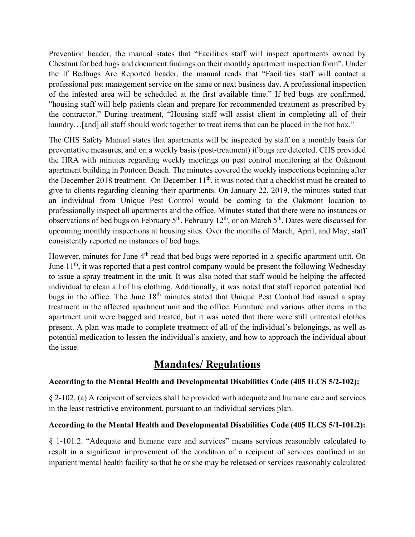Prevention header, the manual states that "Facilities staff will inspect apartments owned by Chestnut for bed bugs and document findings on their monthly apartment inspection form". Under the If Bedbugs Are Reported header, the manual reads that "Facilities staff will contact a professional pest management service on the same or next business day. A professional inspection of the infested area will be scheduled at the first available time." If bed bugs are confirmed, "housing staff will help patients clean and prepare for recommended treatment as prescribed by the contractor." During treatment, "Housing staff will assist client in completing all of their laundry...[and] all staff should work together to treat items that can be placed in the hot box."

The CHS Safety Manual states that apartments will be inspected by staff on a monthly basis for preventative measures, and on a weekly basis (post-treatment) if bugs are detected. CHS provided the HRA with minutes regarding weekly meetings on pest control monitoring at the Oakmont apartment building in Pontoon Beach. The minutes covered the weekly inspections beginning after the December 2018 treatment. On December  $11<sup>th</sup>$ , it was noted that a checklist must be created to give to clients regarding cleaning their apartments. On January 22, 2019, the minutes stated that an individual from Unique Pest Control would be coming to the Oakmont location to professionally inspect all apartments and the office. Minutes stated that there were no instances or observations of bed bugs on February 5<sup>th</sup>, February 12<sup>th</sup>, or on March 5<sup>th</sup>. Dates were discussed for upcoming monthly inspections at housing sites. Over the months of March, April, and May, staff consistently reported no instances of bed bugs.

However, minutes for June 4<sup>th</sup> read that bed bugs were reported in a specific apartment unit. On June  $11<sup>th</sup>$ , it was reported that a pest control company would be present the following Wednesday to issue a spray treatment in the unit. It was also noted that staff would be helping the affected individual to clean all of his clothing. Additionally, it was noted that staff reported potential bed bugs in the office. The June 18<sup>th</sup> minutes stated that Unique Pest Control had issued a spray treatment in the affected apartment unit and the office. Furniture and various other items in the apartment unit were bagged and treated, but it was noted that there were still untreated clothes present. A plan was made to complete treatment of all of the individual's belongings, as well as potential medication to lessen the individual's anxiety, and how to approach the individual about the issue.

## **Mandates/ Regulations**

#### **According to the Mental Health and Developmental Disabilities Code (405 ILCS 5/2-102):**

§ 2-102. (a) A recipient of services shall be provided with adequate and humane care and services in the least restrictive environment, pursuant to an individual services plan.

#### **According to the Mental Health and Developmental Disabilities Code (405 ILCS 5/1-101.2):**

§ 1-101.2. "Adequate and humane care and services" means services reasonably calculated to result in a significant improvement of the condition of a recipient of services confined in an inpatient mental health facility so that he or she may be released or services reasonably calculated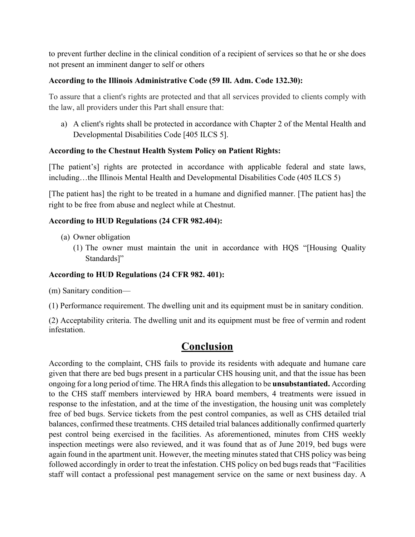to prevent further decline in the clinical condition of a recipient of services so that he or she does not present an imminent danger to self or others

#### **According to the Illinois Administrative Code (59 Ill. Adm. Code 132.30):**

To assure that a client's rights are protected and that all services provided to clients comply with the law, all providers under this Part shall ensure that:

a) A client's rights shall be protected in accordance with Chapter 2 of the Mental Health and Developmental Disabilities Code [405 ILCS 5].

#### **According to the Chestnut Health System Policy on Patient Rights:**

[The patient's] rights are protected in accordance with applicable federal and state laws, including…the Illinois Mental Health and Developmental Disabilities Code (405 ILCS 5)

[The patient has] the right to be treated in a humane and dignified manner. [The patient has] the right to be free from abuse and neglect while at Chestnut.

#### **According to HUD Regulations (24 CFR 982.404):**

- (a) Owner obligation
	- (1) The owner must maintain the unit in accordance with HQS "[Housing Quality Standards]"

#### **According to HUD Regulations (24 CFR 982. 401):**

(m) Sanitary condition—

(1) Performance requirement. The dwelling unit and its equipment must be in sanitary condition.

(2) Acceptability criteria. The dwelling unit and its equipment must be free of vermin and rodent infestation.

### **Conclusion**

According to the complaint, CHS fails to provide its residents with adequate and humane care given that there are bed bugs present in a particular CHS housing unit, and that the issue has been ongoing for a long period of time. The HRA finds this allegation to be **unsubstantiated.** According to the CHS staff members interviewed by HRA board members, 4 treatments were issued in response to the infestation, and at the time of the investigation, the housing unit was completely free of bed bugs. Service tickets from the pest control companies, as well as CHS detailed trial balances, confirmed these treatments. CHS detailed trial balances additionally confirmed quarterly pest control being exercised in the facilities. As aforementioned, minutes from CHS weekly inspection meetings were also reviewed, and it was found that as of June 2019, bed bugs were again found in the apartment unit. However, the meeting minutes stated that CHS policy was being followed accordingly in order to treat the infestation. CHS policy on bed bugs reads that "Facilities staff will contact a professional pest management service on the same or next business day. A